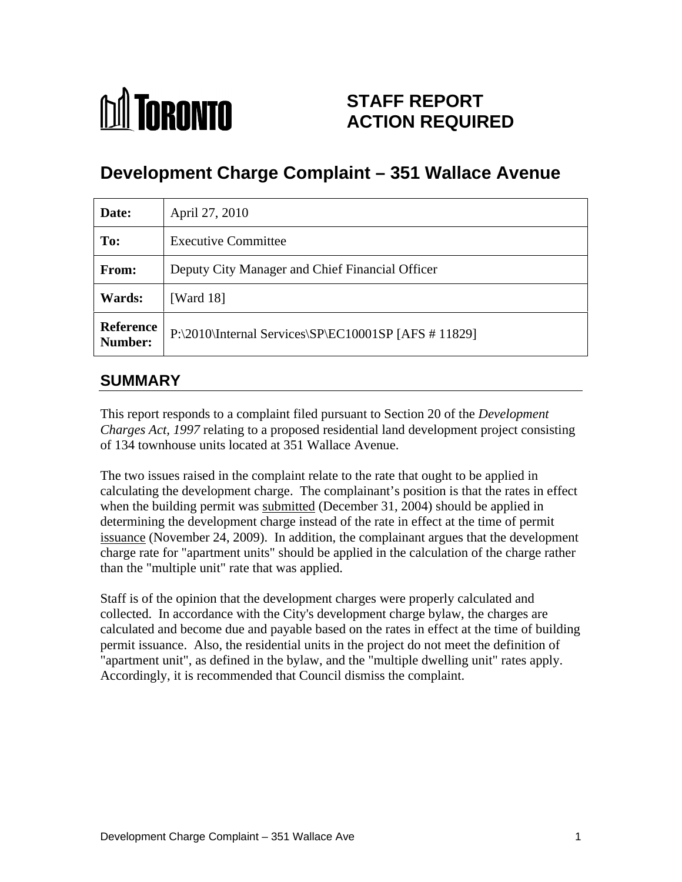

# **STAFF REPORT ACTION REQUIRED**

# **Development Charge Complaint – 351 Wallace Avenue**

| Date:  | April 27, 2010                                                   |
|--------|------------------------------------------------------------------|
| To:    | <b>Executive Committee</b>                                       |
| From:  | Deputy City Manager and Chief Financial Officer                  |
| Wards: | [Ward 18]                                                        |
|        | Reference   P:\2010\Internal Services\SP\EC10001SP [AFS # 11829] |

# **SUMMARY**

This report responds to a complaint filed pursuant to Section 20 of the *Development Charges Act, 1997* relating to a proposed residential land development project consisting

of 134 townhouse units located at 351 Wallace Avenue.<br>The two issues raised in the complaint relate to the rate that ought to be applied in calculating the development charge. The complainant's position is that the rates in effect when the building permit was submitted (December 31, 2004) should be applied in determining the development charge instead of the rate in effect at the time of permit issuance (November 24, 2009). In addition, the complainant argues that the development charge rate for "apartment units" should be applied in the calculation of the charge rather than the "multiple unit" rate that was applied.

Staff is of the opinion that the development charges were properly calculated and collected. In accordance with the City's development charge bylaw, the charges are calculated and become due and payable based on the rates in effect at the time of building permit issuance. Also, the residential units in the project do not meet the definition of "apartment unit", as defined in the bylaw, and the "multiple dwelling unit" rates apply. Accordingly, it is recommended that Council dismiss the complaint.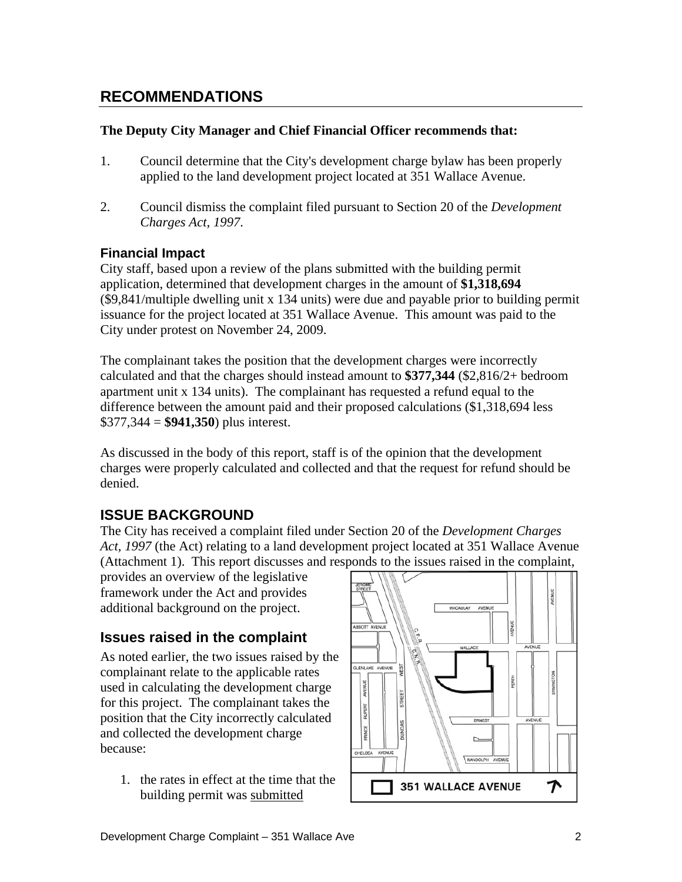## **RECOMMENDATIONS**

#### **The Deputy City Manager and Chief Financial Officer recommends that:**

- 1. Council determine that the City's development charge bylaw has been properly applied to the land development project located at 351 Wallace Avenue.
- 2. Council dismiss the complaint filed pursuant to Section 20 of the *Development Charges Act, 1997*.

#### **Financial Impact**

City staff, based upon a review of the plans submitted with the building permit application, determined that development charges in the amount of **\$1,318,694** (\$9,841/multiple dwelling unit x 134 units) were due and payable prior to building permit issuance for the project located at 351 Wallace Avenue. This amount was paid to the City under protest on November 24, 2009.

The complainant takes the position that the development charges were incorrectly calculated and that the charges should instead amount to **\$377,344** (\$2,816/2+ bedroom apartment unit x 134 units). The complainant has requested a refund equal to the difference between the amount paid and their proposed calculations (\$1,318,694 less \$377,344 = **\$941,350**) plus interest.

As discussed in the body of this report, staff is of the opinion that the development charges were properly calculated and collected and that the request for refund should be denied.

#### **ISSUE BACKGROUND**

The City has received a complaint filed under Section 20 of the *Development Charges Act, 1997* (the Act) relating to a land development project located at 351 Wallace Avenue (Attachment 1). This report discusses and responds to the issues raised in the complaint,

framework under the Act and provides  $\left|\left|\right| \right|$ additional background on the project.  $\Box$ 

As noted earlier, the two issues raised by the  $\frac{1}{\left|\frac{1}{\text{QLEMAATE}}\right|_0}$ complainant relate to the applicable rates<br>used in calculating the development charge  $\left[\begin{array}{c} \begin{array}{c} \circ \text{if} \\ \frac{1}{2} \\ \frac{1}{2} \\ \frac{1}{2} \\ \frac{1}{2} \\ \frac{1}{2} \\ \frac{1}{2} \\ \frac{1}{2} \\ \frac{1}{2} \\ \frac{1}{2} \\ \frac{1}{2} \\ \frac{1}{2} \\ \frac{1}{2} \\ \frac{1}{2} \\ \frac{1}{2$ used in calculating the development charge for this project. The complainant takes the position that the City incorrectly calculated<br>and collected the development charge and collected the development charge  $\|\mathbf{r}\| = \|\mathbf{r}\|$ 

1. the rates in effect at the time that the  $\boxed{}$  351 WALLACE AVENUE  $\rightarrow$ building permit was submitted

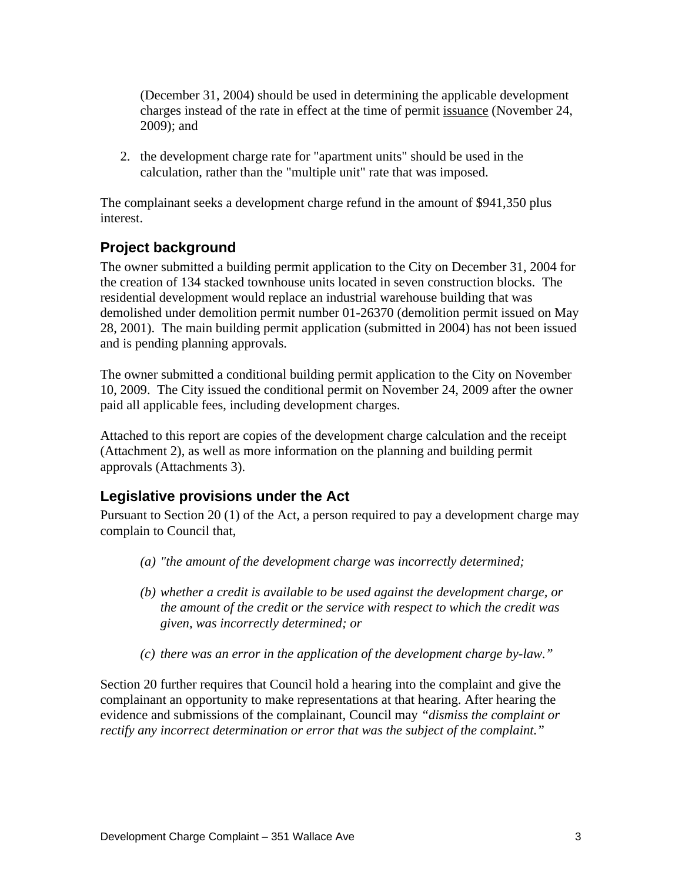(December 31, 2004) should be used in determining the applicable development charges instead of the rate in effect at the time of permit issuance (November 24, 2009); and

2. the development charge rate for "apartment units" should be used in the calculation, rather than the "multiple unit" rate that was imposed.

The complainant seeks a development charge refund in the amount of \$941,350 plus interest.

### **Project background**

The owner submitted a building permit application to the City on December 31, 2004 for the creation of 134 stacked townhouse units located in seven construction blocks. The residential development would replace an industrial warehouse building that was demolished under demolition permit number 01-26370 (demolition permit issued on May 28, 2001). The main building permit application (submitted in 2004) has not been issued and is pending planning approvals.

The owner submitted a conditional building permit application to the City on November 10, 2009. The City issued the conditional permit on November 24, 2009 after the owner paid all applicable fees, including development charges.

Attached to this report are copies of the development charge calculation and the receipt (Attachment 2), as well as more information on the planning and building permit approvals (Attachments 3).

#### **Legislative provisions under the Act**

Pursuant to Section 20 (1) of the Act, a person required to pay a development charge may complain to Council that,

- *(a) "the amount of the development charge was incorrectly determined;*
- *(b) whether a credit is available to be used against the development charge, or the amount of the credit or the service with respect to which the credit was given, was incorrectly determined; or*
- *(c) there was an error in the application of the development charge by-law."*

Section 20 further requires that Council hold a hearing into the complaint and give the complainant an opportunity to make representations at that hearing. After hearing the evidence and submissions of the complainant, Council may *"dismiss the complaint or rectify any incorrect determination or error that was the subject of the complaint."*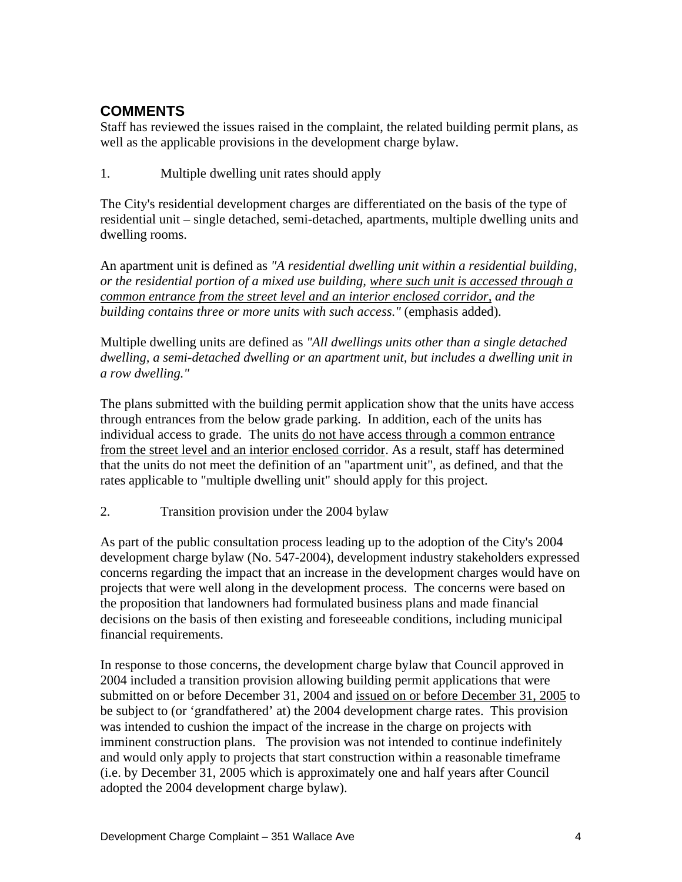# **COMMENTS**

Staff has reviewed the issues raised in the complaint, the related building permit plans, as well as the applicable provisions in the development charge bylaw.<br>1. Multiple dwelling unit rates should apply

The City's residential development charges are differentiated on the basis of the type of residential unit – single detached, semi-detached, apartments, multiple dwelling units and dwelling rooms.<br>An apartment unit is defined as *"A residential dwelling unit within a residential building*,

*or the residential portion of a mixed use building, where such unit is accessed through a common entrance from the street level and an interior enclosed corridor, and the building contains three or more units with such access."* (emphasis added).<br>Multiple dwelling units are defined as *"All dwellings units other than a single detached* 

*dwelling, a semi-detached dwelling or an apartment unit, but includes a dwelling unit in a row dwelling."*

The plans submitted with the building permit application show that the units have access through entrances from the below grade parking. In addition, each of the units has individual access to grade. The units do not have access through a common entrance from the street level and an interior enclosed corridor. As a result, staff has determined that the units do not meet the definition of an "apartment unit", as defined, and that the rates applicable to "multiple dwelling unit" should apply for this project.

2. Transition provision under the 2004 bylaw

As part of the public consultation process leading up to the adoption of the City's 2004 development charge bylaw (No. 547-2004), development industry stakeholders expressed concerns regarding the impact that an increase in the development charges would have on projects that were well along in the development process. The concerns were based on the proposition that landowners had formulated business plans and made financial decisions on the basis of then existing and foreseeable conditions, including municipal financial requirements.

In response to those concerns, the development charge bylaw that Council approved in 2004 included a transition provision allowing building permit applications that were submitted on or before December 31, 2004 and issued on or before December 31, 2005 to be subject to (or 'grandfathered' at) the 2004 development charge rates. This provision was intended to cushion the impact of the increase in the charge on projects with imminent construction plans. The provision was not intended to continue indefinitely and would only apply to projects that start construction within a reasonable timeframe (i.e. by December 31, 2005 which is approximately one and half years after Council adopted the 2004 development charge bylaw).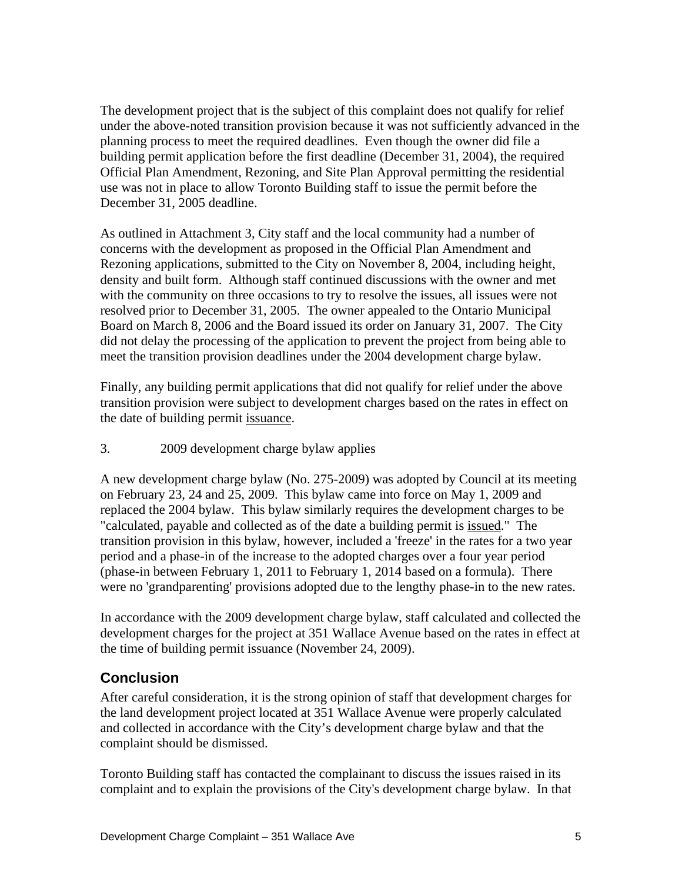The development project that is the subject of this complaint does not qualify for relief under the above-noted transition provision because it was not sufficiently advanced in the planning process to meet the required deadlines. Even though the owner did file a building permit application before the first deadline (December 31, 2004), the required Official Plan Amendment, Rezoning, and Site Plan Approval permitting the residential use was not in place to allow Toronto Building staff to issue the permit before the

December 31, 2005 deadline.<br>As outlined in Attachment 3, City staff and the local community had a number of concerns with the development as proposed in the Official Plan Amendment and Rezoning applications, submitted to the City on November 8, 2004, including height, density and built form. Although staff continued discussions with the owner and met with the community on three occasions to try to resolve the issues, all issues were not resolved prior to December 31, 2005. The owner appealed to the Ontario Municipal Board on March 8, 2006 and the Board issued its order on January 31, 2007. The City did not delay the processing of the application to prevent the project from being able to

meet the transition provision deadlines under the 2004 development charge bylaw. Finally, any building permit applications that did not qualify for relief under the above transition provision were subject to development charges based on the rates in effect on the date of building permit issuance.

3. 2009 development charge bylaw applies

A new development charge bylaw (No. 275-2009) was adopted by Council at its meeting on February 23, 24 and 25, 2009. This bylaw came into force on May 1, 2009 and replaced the 2004 bylaw. This bylaw similarly requires the development charges to be "calculated, payable and collected as of the date a building permit is issued." The transition provision in this bylaw, however, included a 'freeze' in the rates for a two year period and a phase-in of the increase to the adopted charges over a four year period (phase-in between February 1, 2011 to February 1, 2014 based on a formula). There were no 'grandparenting' provisions adopted due to the lengthy phase-in to the new rates.

In accordance with the 2009 development charge bylaw, staff calculated and collected the development charges for the project at 351 Wallace Avenue based on the rates in effect at the time of building permit issuance (November 24, 2009).

### **Conclusion**

After careful consideration, it is the strong opinion of staff that development charges for the land development project located at 351 Wallace Avenue were properly calculated and collected in accordance with the City's development charge bylaw and that the

complaint should be dismissed.<br>Toronto Building staff has contacted the complainant to discuss the issues raised in its complaint and to explain the provisions of the City's development charge bylaw. In that